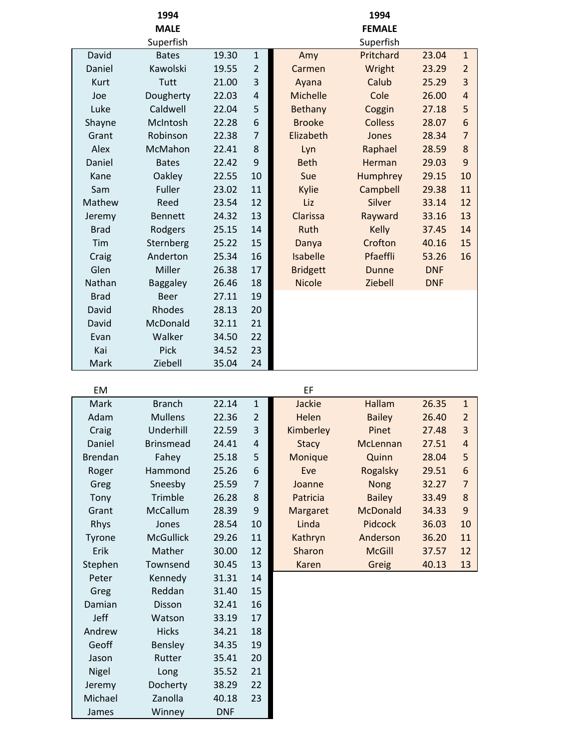|             | 1994            |       |                         |                 | 1994           |            |                |
|-------------|-----------------|-------|-------------------------|-----------------|----------------|------------|----------------|
|             | <b>MALE</b>     |       |                         |                 | <b>FEMALE</b>  |            |                |
|             | Superfish       |       |                         |                 | Superfish      |            |                |
| David       | <b>Bates</b>    | 19.30 | $\mathbf{1}$            | Amy             | Pritchard      | 23.04      | $\mathbf{1}$   |
| Daniel      | Kawolski        | 19.55 | $\overline{2}$          | Carmen          | Wright         | 23.29      | $\overline{2}$ |
| Kurt        | Tutt            | 21.00 | 3                       | Ayana           | Calub          | 25.29      | 3              |
| Joe         | Dougherty       | 22.03 | $\overline{\mathbf{r}}$ | Michelle        | Cole           | 26.00      | $\overline{4}$ |
| Luke        | Caldwell        | 22.04 | 5                       | Bethany         | Coggin         | 27.18      | 5              |
| Shayne      | McIntosh        | 22.28 | 6                       | <b>Brooke</b>   | <b>Colless</b> | 28.07      | 6              |
| Grant       | Robinson        | 22.38 | $\overline{7}$          | Elizabeth       | Jones          | 28.34      | $\overline{7}$ |
| Alex        | McMahon         | 22.41 | 8                       | Lyn             | Raphael        | 28.59      | 8              |
| Daniel      | <b>Bates</b>    | 22.42 | 9                       | <b>Beth</b>     | Herman         | 29.03      | 9              |
| Kane        | Oakley          | 22.55 | 10                      | Sue             | Humphrey       | 29.15      | 10             |
| Sam         | Fuller          | 23.02 | 11                      | Kylie           | Campbell       | 29.38      | 11             |
| Mathew      | Reed            | 23.54 | 12                      | Liz             | Silver         | 33.14      | 12             |
| Jeremy      | <b>Bennett</b>  | 24.32 | 13                      | Clarissa        | Rayward        | 33.16      | 13             |
| <b>Brad</b> | Rodgers         | 25.15 | 14                      | Ruth            | <b>Kelly</b>   | 37.45      | 14             |
| Tim         | Sternberg       | 25.22 | 15                      | Danya           | Crofton        | 40.16      | 15             |
| Craig       | Anderton        | 25.34 | 16                      | Isabelle        | Pfaeffli       | 53.26      | 16             |
| Glen        | Miller          | 26.38 | 17                      | <b>Bridgett</b> | <b>Dunne</b>   | <b>DNF</b> |                |
| Nathan      | <b>Baggaley</b> | 26.46 | 18                      | <b>Nicole</b>   | Ziebell        | <b>DNF</b> |                |
| <b>Brad</b> | <b>Beer</b>     | 27.11 | 19                      |                 |                |            |                |
| David       | Rhodes          | 28.13 | 20                      |                 |                |            |                |
| David       | McDonald        | 32.11 | 21                      |                 |                |            |                |
| Evan        | Walker          | 34.50 | 22                      |                 |                |            |                |
| Kai         | Pick            | 34.52 | 23                      |                 |                |            |                |
| Mark        | Ziebell         | 35.04 | 24                      |                 |                |            |                |

|  | . . |  |
|--|-----|--|
|  |     |  |

| <b>Branch</b>    | 22.14      | $\mathbf 1$    | Jackie       | Hallam          | 26.35 | $\mathbf{1}$     |
|------------------|------------|----------------|--------------|-----------------|-------|------------------|
| <b>Mullens</b>   | 22.36      | $\overline{2}$ | Helen        | <b>Bailey</b>   | 26.40 | $\overline{2}$   |
| Underhill        | 22.59      | 3              | Kimberley    | Pinet           | 27.48 | $\mathbf{3}$     |
| <b>Brinsmead</b> | 24.41      | 4              | <b>Stacy</b> | McLennan        | 27.51 | $\overline{a}$   |
| Fahey            | 25.18      | 5              | Monique      | Quinn           | 28.04 | $\sqrt{5}$       |
| Hammond          | 25.26      | 6              | Eve          | Rogalsky        | 29.51 | $\boldsymbol{6}$ |
| Sneesby          | 25.59      | $\overline{7}$ | Joanne       | <b>Nong</b>     | 32.27 | $\overline{7}$   |
| Trimble          | 26.28      | 8              | Patricia     | <b>Bailey</b>   | 33.49 | $\bf 8$          |
| McCallum         | 28.39      | 9              | Margaret     | <b>McDonald</b> | 34.33 | $\overline{9}$   |
| Jones            | 28.54      | 10             | Linda        | Pidcock         | 36.03 | 10               |
| <b>McGullick</b> | 29.26      | 11             | Kathryn      | Anderson        | 36.20 | 11               |
| Mather           | 30.00      | 12             | Sharon       | <b>McGill</b>   | 37.57 | 12               |
| Townsend         | 30.45      | 13             | Karen        | Greig           | 40.13 | 13               |
| Kennedy          | 31.31      | 14             |              |                 |       |                  |
| Reddan           | 31.40      | 15             |              |                 |       |                  |
| <b>Disson</b>    | 32.41      | 16             |              |                 |       |                  |
| Watson           | 33.19      | 17             |              |                 |       |                  |
| <b>Hicks</b>     | 34.21      | 18             |              |                 |       |                  |
| Bensley          | 34.35      | 19             |              |                 |       |                  |
| Rutter           | 35.41      | 20             |              |                 |       |                  |
| Long             | 35.52      | 21             |              |                 |       |                  |
| Docherty         | 38.29      | 22             |              |                 |       |                  |
| Zanolla          | 40.18      | 23             |              |                 |       |                  |
| Winney           | <b>DNF</b> |                |              |                 |       |                  |
|                  |            |                |              |                 |       |                  |

| EM          |                  |       |              | EF           |                |       |              |
|-------------|------------------|-------|--------------|--------------|----------------|-------|--------------|
| Mark        | <b>Branch</b>    | 22.14 | $\mathbf{1}$ | Jackie       | <b>Hallam</b>  | 26.35 | $\mathbf{1}$ |
| Adam        | <b>Mullens</b>   | 22.36 | 2            | Helen        | <b>Bailey</b>  | 26.40 | 2            |
| Craig       | Underhill        | 22.59 | 3            | Kimberley    | Pinet          | 27.48 | 3            |
| Daniel      | <b>Brinsmead</b> | 24.41 | 4            | <b>Stacy</b> | McLennan       | 27.51 | 4            |
| 3rendan     | Fahey            | 25.18 | 5            | Monique      | Quinn          | 28.04 | 5            |
| Roger       | Hammond          | 25.26 | 6            | Eve          | Rogalsky       | 29.51 | 6            |
| Greg        | Sneesby          | 25.59 | 7            | Joanne       | <b>Nong</b>    | 32.27 | 7            |
| Tony        | Trimble          | 26.28 | 8            | Patricia     | <b>Bailey</b>  | 33.49 | 8            |
| Grant       | McCallum         | 28.39 | 9            | Margaret     | McDonald       | 34.33 | 9            |
| <b>Rhys</b> | Jones            | 28.54 | 10           | Linda        | <b>Pidcock</b> | 36.03 | 10           |
| Tyrone      | <b>McGullick</b> | 29.26 | 11           | Kathryn      | Anderson       | 36.20 | 11           |
| Erik        | Mather           | 30.00 | 12           | Sharon       | <b>McGill</b>  | 37.57 | 12           |
| itephen     | Townsend         | 30.45 | 13           | Karen        | Greig          | 40.13 | 13           |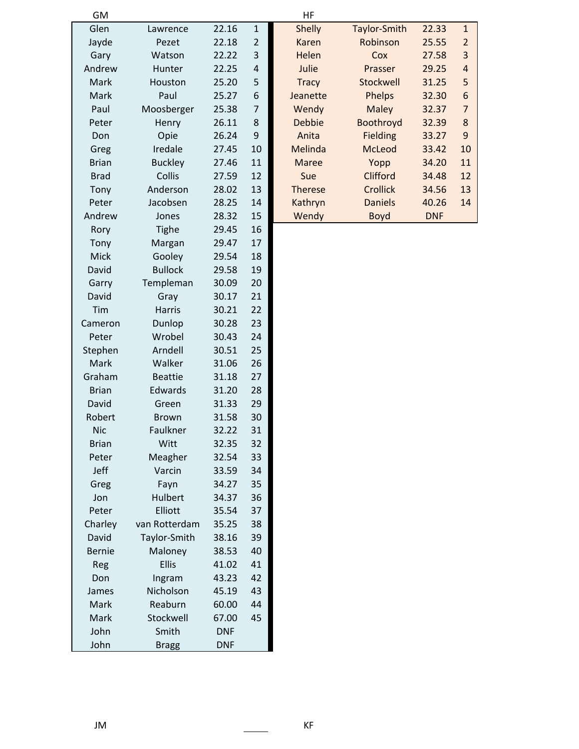| GM            |                |            |                | HF             |                 |            |                  |
|---------------|----------------|------------|----------------|----------------|-----------------|------------|------------------|
| Glen          | Lawrence       | 22.16      | $\mathbf{1}$   | <b>Shelly</b>  | Taylor-Smith    | 22.33      | $\mathbf{1}$     |
| Jayde         | Pezet          | 22.18      | $\overline{2}$ | <b>Karen</b>   | Robinson        | 25.55      | $\overline{2}$   |
| Gary          | Watson         | 22.22      | 3              | Helen          | Cox             | 27.58      | $\mathsf 3$      |
| Andrew        | Hunter         | 22.25      | 4              | Julie          | Prasser         | 29.25      | $\overline{a}$   |
| Mark          | Houston        | 25.20      | 5              | <b>Tracy</b>   | Stockwell       | 31.25      | 5                |
| Mark          | Paul           | 25.27      | 6              | Jeanette       | Phelps          | 32.30      | $\boldsymbol{6}$ |
| Paul          | Moosberger     | 25.38      | $\overline{7}$ | Wendy          | <b>Maley</b>    | 32.37      | $\overline{7}$   |
| Peter         | Henry          | 26.11      | 8              | <b>Debbie</b>  | Boothroyd       | 32.39      | $\bf 8$          |
| Don           | Opie           | 26.24      | 9              | Anita          | Fielding        | 33.27      | $9\,$            |
| Greg          | Iredale        | 27.45      | 10             | Melinda        | <b>McLeod</b>   | 33.42      | 10               |
| <b>Brian</b>  | <b>Buckley</b> | 27.46      | 11             | <b>Maree</b>   | Yopp            | 34.20      | 11               |
| <b>Brad</b>   | Collis         | 27.59      | 12             | Sue            | Clifford        | 34.48      | 12               |
| Tony          | Anderson       | 28.02      | 13             | <b>Therese</b> | <b>Crollick</b> | 34.56      | 13               |
| Peter         | Jacobsen       | 28.25      | 14             | Kathryn        | <b>Daniels</b>  | 40.26      | 14               |
| Andrew        | Jones          | 28.32      | 15             | Wendy          | <b>Boyd</b>     | <b>DNF</b> |                  |
| Rory          | <b>Tighe</b>   | 29.45      | 16             |                |                 |            |                  |
| Tony          | Margan         | 29.47      | 17             |                |                 |            |                  |
| Mick          | Gooley         | 29.54      | 18             |                |                 |            |                  |
| David         | <b>Bullock</b> | 29.58      | 19             |                |                 |            |                  |
| Garry         | Templeman      | 30.09      | 20             |                |                 |            |                  |
| David         | Gray           | 30.17      | 21             |                |                 |            |                  |
| Tim           | Harris         | 30.21      | 22             |                |                 |            |                  |
| Cameron       | Dunlop         | 30.28      | 23             |                |                 |            |                  |
| Peter         | Wrobel         | 30.43      | 24             |                |                 |            |                  |
| Stephen       | Arndell        | 30.51      | 25             |                |                 |            |                  |
| Mark          | Walker         | 31.06      | 26             |                |                 |            |                  |
| Graham        | <b>Beattie</b> | 31.18      | 27             |                |                 |            |                  |
| <b>Brian</b>  | Edwards        | 31.20      | 28             |                |                 |            |                  |
| David         | Green          | 31.33      | 29             |                |                 |            |                  |
| Robert        | <b>Brown</b>   | 31.58      | 30             |                |                 |            |                  |
| <b>Nic</b>    | Faulkner       | 32.22      | 31             |                |                 |            |                  |
| <b>Brian</b>  | Witt           | 32.35      | 32             |                |                 |            |                  |
| Peter         | Meagher        | 32.54      | 33             |                |                 |            |                  |
| Jeff          | Varcin         | 33.59      | 34             |                |                 |            |                  |
| Greg          | Fayn           | 34.27      | 35             |                |                 |            |                  |
| Jon           | Hulbert        | 34.37      | 36             |                |                 |            |                  |
| Peter         | Elliott        | 35.54      | 37             |                |                 |            |                  |
| Charley       | van Rotterdam  | 35.25      | 38             |                |                 |            |                  |
| David         | Taylor-Smith   | 38.16      | 39             |                |                 |            |                  |
| <b>Bernie</b> | Maloney        | 38.53      | 40             |                |                 |            |                  |
| Reg           | <b>Ellis</b>   | 41.02      | 41             |                |                 |            |                  |
| Don           | Ingram         | 43.23      | 42             |                |                 |            |                  |
| James         | Nicholson      | 45.19      | 43             |                |                 |            |                  |
| Mark          | Reaburn        | 60.00      | 44             |                |                 |            |                  |
| Mark          | Stockwell      | 67.00      | 45             |                |                 |            |                  |
| John          | Smith          | <b>DNF</b> |                |                |                 |            |                  |
| John          | <b>Bragg</b>   | <b>DNF</b> |                |                |                 |            |                  |

| НF             |                     |            |                |
|----------------|---------------------|------------|----------------|
| <b>Shelly</b>  | <b>Taylor-Smith</b> | 22.33      | $\mathbf{1}$   |
| Karen          | Robinson            | 25.55      | 2              |
| Helen          | Cox                 | 27.58      | 3              |
| Julie          | Prasser             | 29.25      | 4              |
| <b>Tracy</b>   | Stockwell           | 31.25      | 5              |
| Jeanette       | <b>Phelps</b>       | 32.30      | 6              |
| Wendy          | Maley               | 32.37      | $\overline{7}$ |
| Debbie         | Boothroyd           | 32.39      | 8              |
| Anita          | Fielding            | 33.27      | 9              |
| Melinda        | McLeod              | 33.42      | 10             |
| Maree          | Yopp                | 34.20      | 11             |
| Sue            | Clifford            | 34.48      | 12             |
| <b>Therese</b> | Crollick            | 34.56      | 13             |
| Kathryn        | Daniels             | 40.26      | 14             |
| Wendy          | <b>Boyd</b>         | <b>DNF</b> |                |
|                |                     |            |                |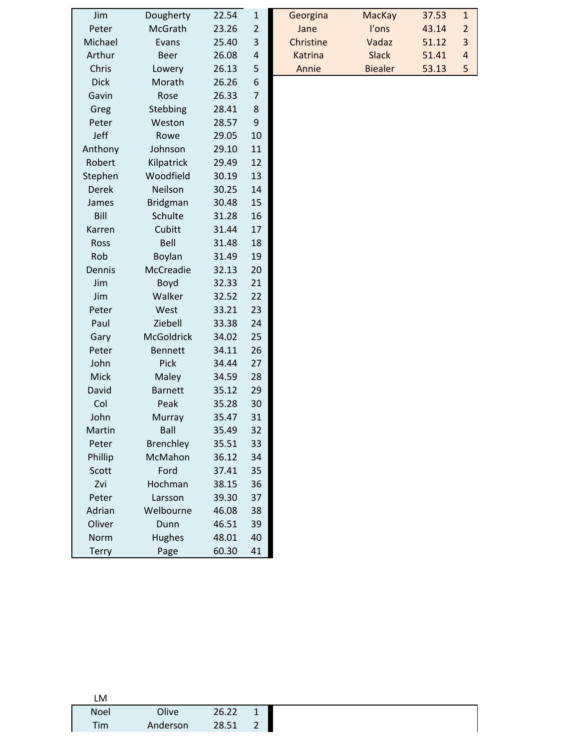| Jim          | Dougherty         | 22.54 | $\mathbf{1}$     | Georgina  | MacKay         |
|--------------|-------------------|-------|------------------|-----------|----------------|
| Peter        | McGrath           | 23.26 | $\overline{2}$   | Jane      | I'ons          |
| Michael      | Evans             | 25.40 | 3                | Christine | Vadaz          |
| Arthur       | <b>Beer</b>       | 26.08 | 4                | Katrina   | <b>Slack</b>   |
| Chris        | Lowery            | 26.13 | 5                | Annie     | <b>Biealer</b> |
| <b>Dick</b>  | Morath            | 26.26 | 6                |           |                |
| Gavin        | Rose              | 26.33 | $\overline{7}$   |           |                |
| Greg         | Stebbing          | 28.41 | 8                |           |                |
| Peter        | Weston            | 28.57 | $\boldsymbol{9}$ |           |                |
| Jeff         | Rowe              | 29.05 | 10               |           |                |
| Anthony      | Johnson           | 29.10 | 11               |           |                |
| Robert       | Kilpatrick        | 29.49 | 12               |           |                |
| Stephen      | Woodfield         | 30.19 | 13               |           |                |
| <b>Derek</b> | Neilson           | 30.25 | 14               |           |                |
| James        | <b>Bridgman</b>   | 30.48 | 15               |           |                |
| Bill         | Schulte           | 31.28 | 16               |           |                |
| Karren       | Cubitt            | 31.44 | 17               |           |                |
| Ross         | Bell              | 31.48 | 18               |           |                |
| Rob          | Boylan            | 31.49 | 19               |           |                |
| Dennis       | McCreadie         | 32.13 | 20               |           |                |
| Jim          | Boyd              | 32.33 | 21               |           |                |
| Jim          | Walker            | 32.52 | 22               |           |                |
| Peter        | West              | 33.21 | 23               |           |                |
| Paul         | Ziebell           | 33.38 | 24               |           |                |
| Gary         | <b>McGoldrick</b> | 34.02 | 25               |           |                |
| Peter        | <b>Bennett</b>    | 34.11 | 26               |           |                |
| John         | Pick              | 34.44 | 27               |           |                |
| Mick         | Maley             | 34.59 | 28               |           |                |
| David        | <b>Barnett</b>    | 35.12 | 29               |           |                |
| Col          | Peak              | 35.28 | 30               |           |                |
| John         | Murray            | 35.47 | 31               |           |                |
| Martin       | Ball              | 35.49 | 32               |           |                |
| Peter        | Brenchley         | 35.51 | 33               |           |                |
| Phillip      | McMahon           | 36.12 | 34               |           |                |
|              |                   |       |                  |           |                |
| Scott        | Ford              | 37.41 | 35               |           |                |
| Zvi          | Hochman           | 38.15 | 36               |           |                |
| Peter        | Larsson           | 39.30 | 37               |           |                |
| Adrian       | Welbourne         | 46.08 | 38               |           |                |
| Oliver       | Dunn              | 46.51 | 39               |           |                |
| Norm         | Hughes            | 48.01 | 40               |           |                |
| <b>Terry</b> | Page              | 60.30 | 41               |           |                |

| Jim                   | Dougherty | 22.54 | 1 | Georgina  | MacKay         | 37.53 |   |
|-----------------------|-----------|-------|---|-----------|----------------|-------|---|
| Peter                 | McGrath   | 23.26 |   | Jane      | l'ons          | 43.14 |   |
| <i><b>Aichael</b></i> | Evans     | 25.40 | 3 | Christine | Vadaz          | 51.12 | 3 |
| Arthur                | Beer      | 26.08 | 4 | Katrina   | <b>Slack</b>   | 51.41 | 4 |
| Chris                 | Lowery    | 26.13 | 5 | Annie     | <b>Biealer</b> | 53.13 | 5 |
|                       |           |       |   |           |                |       |   |

| I M         |          |       |  |
|-------------|----------|-------|--|
| <b>Noel</b> | Olive    | 26.22 |  |
| Tim         | Anderson | 28.51 |  |